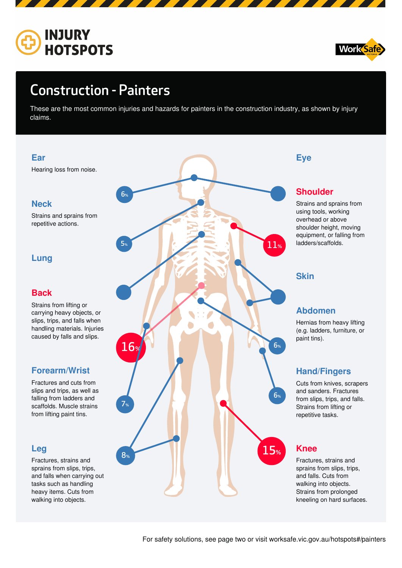



# Construction - Painters

These are the most common injuries and hazards for painters in the construction industry, as shown by injury claims.

For safety solutions, see page two or visit worksafe.vic.gov.au/hotspots#/painters



## $15<sub>9</sub>$ **Knee**

## **Leg**



Fractures, strains and sprains from slips, trips, and falls when carrying out tasks such as handling heavy items. Cuts from walking into objects.

Fractures, strains and sprains from slips, trips, and falls. Cuts from walking into objects. Strains from prolonged kneeling on hard surfaces.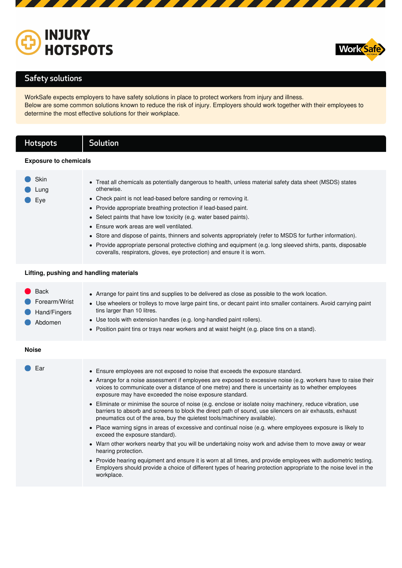



## Safety solutions

WorkSafe expects employers to have safety solutions in place to protect workers from injury and illness. Below are some common solutions known to reduce the risk of injury. Employers should work together with their employees to determine the most effective solutions for their workplace.

## Hotspots | Solution

### **Exposure to chemicals**

### **Lifting, pushing and handling materials**

| <b>Skin</b><br>Lung | • Treat all chemicals as potentially dangerous to health, unless material safety data sheet (MSDS) states<br>otherwise.                                                                 |
|---------------------|-----------------------------------------------------------------------------------------------------------------------------------------------------------------------------------------|
| Eye                 | • Check paint is not lead-based before sanding or removing it.                                                                                                                          |
|                     | • Provide appropriate breathing protection if lead-based paint.                                                                                                                         |
|                     | • Select paints that have low toxicity (e.g. water based paints).                                                                                                                       |
|                     | • Ensure work areas are well ventilated.                                                                                                                                                |
|                     | • Store and dispose of paints, thinners and solvents appropriately (refer to MSDS for further information).                                                                             |
|                     | • Provide appropriate personal protective clothing and equipment (e.g. long sleeved shirts, pants, disposable<br>coveralls, respirators, gloves, eye protection) and ensure it is worn. |

| <b>Back</b><br>Forearm/Wrist<br>Hand/Fingers<br>Abdomen | • Arrange for paint tins and supplies to be delivered as close as possible to the work location.<br>• Use wheelers or trolleys to move large paint tins, or decant paint into smaller containers. Avoid carrying paint<br>tins larger than 10 litres.<br>• Use tools with extension handles (e.g. long-handled paint rollers).<br>• Position paint tins or trays near workers and at waist height (e.g. place tins on a stand).                                                                                                                                                                                                                                                                                                                                                            |
|---------------------------------------------------------|--------------------------------------------------------------------------------------------------------------------------------------------------------------------------------------------------------------------------------------------------------------------------------------------------------------------------------------------------------------------------------------------------------------------------------------------------------------------------------------------------------------------------------------------------------------------------------------------------------------------------------------------------------------------------------------------------------------------------------------------------------------------------------------------|
| <b>Noise</b>                                            |                                                                                                                                                                                                                                                                                                                                                                                                                                                                                                                                                                                                                                                                                                                                                                                            |
| Ear                                                     | • Ensure employees are not exposed to noise that exceeds the exposure standard.<br>• Arrange for a noise assessment if employees are exposed to excessive noise (e.g. workers have to raise their<br>voices to communicate over a distance of one metre) and there is uncertainty as to whether employees<br>exposure may have exceeded the noise exposure standard.<br>• Eliminate or minimise the source of noise (e.g. enclose or isolate noisy machinery, reduce vibration, use<br>barriers to absorb and screens to block the direct path of sound, use silencers on air exhausts, exhaust<br>pneumatics out of the area, buy the quietest tools/machinery available).<br>• Place warning signs in areas of excessive and continual noise (e.g. where employees exposure is likely to |

- exceed the exposure standard).
- Warn other workers nearby that you will be undertaking noisy work and advise them to move away or wear hearing protection.
- Provide hearing equipment and ensure it is worn at all times, and provide employees with audiometric testing. Employers should provide a choice of different types of hearing protection appropriate to the noise level in the workplace.